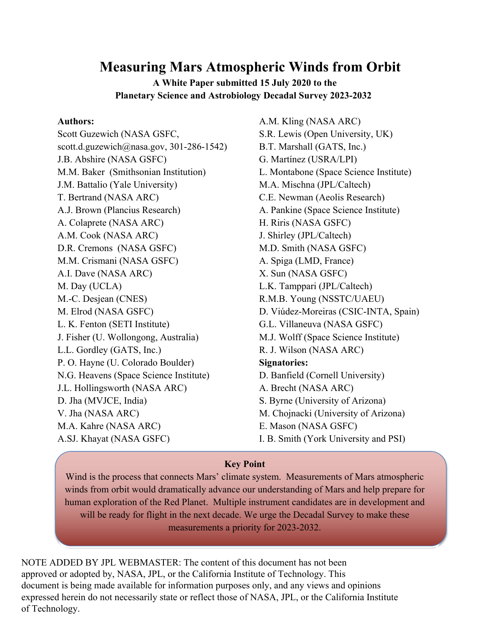# **Measuring Mars Atmospheric Winds from Orbit**

# **A White Paper submitted 15 July 2020 to the Planetary Science and Astrobiology Decadal Survey 2023-2032**

#### **Authors:**

Scott Guzewich (NASA GSFC, scott.d.guzewich@nasa.gov,  $301-286-1542$ ) J.B. Abshire (NASA GSFC) M.M. Baker (Smithsonian Institution) J.M. Battalio (Yale University) T. Bertrand (NASA ARC) A.J. Brown (Plancius Research) A. Colaprete (NASA ARC) A.M. Cook (NASA ARC) D.R. Cremons (NASA GSFC) M.M. Crismani (NASA GSFC) A.I. Dave (NASA ARC) M. Day (UCLA) M.-C. Desjean (CNES) M. Elrod (NASA GSFC) L. K. Fenton (SETI Institute) J. Fisher (U. Wollongong, Australia) L.L. Gordley (GATS, Inc.) P. O. Hayne (U. Colorado Boulder) N.G. Heavens (Space Science Institute) J.L. Hollingsworth (NASA ARC) D. Jha (MVJCE, India) V. Jha (NASA ARC) M.A. Kahre (NASA ARC) A.SJ. Khayat (NASA GSFC)

A.M. Kling (NASA ARC) S.R. Lewis (Open University, UK) B.T. Marshall (GATS, Inc.) G. Martínez (USRA/LPI) L. Montabone (Space Science Institute) M.A. Mischna (JPL/Caltech) C.E. Newman (Aeolis Research) A. Pankine (Space Science Institute) H. Riris (NASA GSFC) J. Shirley (JPL/Caltech) M.D. Smith (NASA GSFC) A. Spiga (LMD, France) X. Sun (NASA GSFC) L.K. Tamppari (JPL/Caltech) R.M.B. Young (NSSTC/UAEU) D. Viúdez-Moreiras (CSIC-INTA, Spain) G.L. Villaneuva (NASA GSFC) M.J. Wolff (Space Science Institute) R. J. Wilson (NASA ARC) **Signatories:** D. Banfield (Cornell University) A. Brecht (NASA ARC) S. Byrne (University of Arizona) M. Chojnacki (University of Arizona) E. Mason (NASA GSFC) I. B. Smith (York University and PSI)

# **Key Point**

Wind is the process that connects Mars' climate system. Measurements of Mars atmospheric winds from orbit would dramatically advance our understanding of Mars and help prepare for human exploration of the Red Planet. Multiple instrument candidates are in development and will be ready for flight in the next decade. We urge the Decadal Survey to make these measurements a priority for 2023-2032.

NOTE ADDED BY JPL WEBMASTER: The content of this document has not been approved or adopted by, NASA, JPL, or the California Institute of Technology. This document is being made available for information purposes only, and any views and opinions expressed herein do not necessarily state or reflect those of NASA, JPL, or the California Institute of Technology.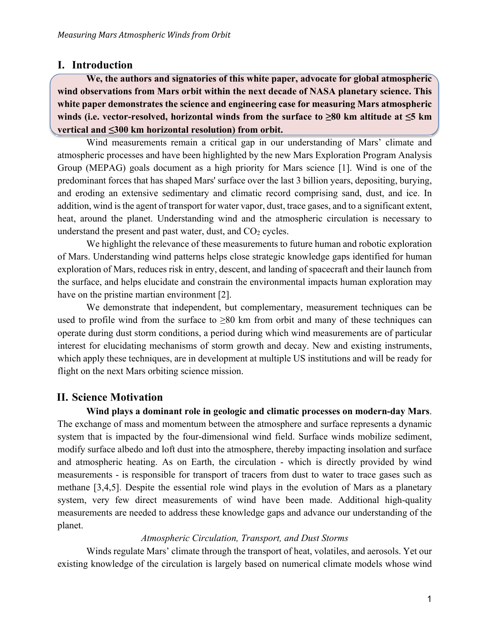## **I. Introduction**

**We, the authors and signatories of this white paper, advocate for global atmospheric wind observations from Mars orbit within the next decade of NASA planetary science. This white paper demonstrates the science and engineering case for measuring Mars atmospheric winds (i.e. vector-resolved, horizontal winds from the surface to ≥80 km altitude at ≤5 km vertical and ≤300 km horizontal resolution) from orbit.** 

Wind measurements remain a critical gap in our understanding of Mars' climate and atmospheric processes and have been highlighted by the new Mars Exploration Program Analysis Group (MEPAG) goals document as a high priority for Mars science [1]. Wind is one of the predominant forces that has shaped Mars' surface over the last 3 billion years, depositing, burying, and eroding an extensive sedimentary and climatic record comprising sand, dust, and ice. In addition, wind is the agent of transport for water vapor, dust, trace gases, and to a significant extent, heat, around the planet. Understanding wind and the atmospheric circulation is necessary to understand the present and past water, dust, and  $CO<sub>2</sub>$  cycles.

We highlight the relevance of these measurements to future human and robotic exploration of Mars. Understanding wind patterns helps close strategic knowledge gaps identified for human exploration of Mars, reduces risk in entry, descent, and landing of spacecraft and their launch from the surface, and helps elucidate and constrain the environmental impacts human exploration may have on the pristine martian environment [2].

We demonstrate that independent, but complementary, measurement techniques can be used to profile wind from the surface to  $\geq 80$  km from orbit and many of these techniques can operate during dust storm conditions, a period during which wind measurements are of particular interest for elucidating mechanisms of storm growth and decay. New and existing instruments, which apply these techniques, are in development at multiple US institutions and will be ready for flight on the next Mars orbiting science mission.

# **II. Science Motivation**

**Wind plays a dominant role in geologic and climatic processes on modern-day Mars**. The exchange of mass and momentum between the atmosphere and surface represents a dynamic system that is impacted by the four-dimensional wind field. Surface winds mobilize sediment, modify surface albedo and loft dust into the atmosphere, thereby impacting insolation and surface and atmospheric heating. As on Earth, the circulation - which is directly provided by wind measurements - is responsible for transport of tracers from dust to water to trace gases such as methane [3,4,5]. Despite the essential role wind plays in the evolution of Mars as a planetary system, very few direct measurements of wind have been made. Additional high-quality measurements are needed to address these knowledge gaps and advance our understanding of the planet.

#### *Atmospheric Circulation, Transport, and Dust Storms*

Winds regulate Mars' climate through the transport of heat, volatiles, and aerosols. Yet our existing knowledge of the circulation is largely based on numerical climate models whose wind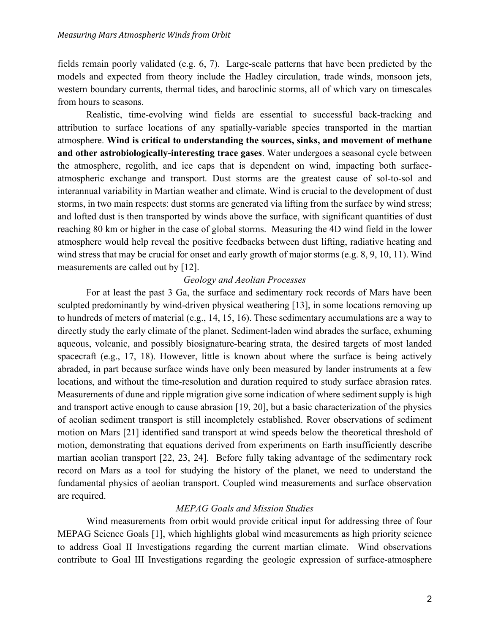fields remain poorly validated (e.g. 6, 7). Large-scale patterns that have been predicted by the models and expected from theory include the Hadley circulation, trade winds, monsoon jets, western boundary currents, thermal tides, and baroclinic storms, all of which vary on timescales from hours to seasons.

Realistic, time-evolving wind fields are essential to successful back-tracking and attribution to surface locations of any spatially-variable species transported in the martian atmosphere. **Wind is critical to understanding the sources, sinks, and movement of methane and other astrobiologically-interesting trace gases**. Water undergoes a seasonal cycle between the atmosphere, regolith, and ice caps that is dependent on wind, impacting both surfaceatmospheric exchange and transport. Dust storms are the greatest cause of sol-to-sol and interannual variability in Martian weather and climate. Wind is crucial to the development of dust storms, in two main respects: dust storms are generated via lifting from the surface by wind stress; and lofted dust is then transported by winds above the surface, with significant quantities of dust reaching 80 km or higher in the case of global storms. Measuring the 4D wind field in the lower atmosphere would help reveal the positive feedbacks between dust lifting, radiative heating and wind stress that may be crucial for onset and early growth of major storms (e.g. 8, 9, 10, 11). Wind measurements are called out by [12].

#### *Geology and Aeolian Processes*

For at least the past 3 Ga, the surface and sedimentary rock records of Mars have been sculpted predominantly by wind-driven physical weathering [13], in some locations removing up to hundreds of meters of material (e.g., 14, 15, 16). These sedimentary accumulations are a way to directly study the early climate of the planet. Sediment-laden wind abrades the surface, exhuming aqueous, volcanic, and possibly biosignature-bearing strata, the desired targets of most landed spacecraft (e.g., 17, 18). However, little is known about where the surface is being actively abraded, in part because surface winds have only been measured by lander instruments at a few locations, and without the time-resolution and duration required to study surface abrasion rates. Measurements of dune and ripple migration give some indication of where sediment supply is high and transport active enough to cause abrasion [19, 20], but a basic characterization of the physics of aeolian sediment transport is still incompletely established. Rover observations of sediment motion on Mars [21] identified sand transport at wind speeds below the theoretical threshold of motion, demonstrating that equations derived from experiments on Earth insufficiently describe martian aeolian transport [22, 23, 24]. Before fully taking advantage of the sedimentary rock record on Mars as a tool for studying the history of the planet, we need to understand the fundamental physics of aeolian transport. Coupled wind measurements and surface observation are required.

#### *MEPAG Goals and Mission Studies*

Wind measurements from orbit would provide critical input for addressing three of four MEPAG Science Goals [1], which highlights global wind measurements as high priority science to address Goal II Investigations regarding the current martian climate. Wind observations contribute to Goal III Investigations regarding the geologic expression of surface-atmosphere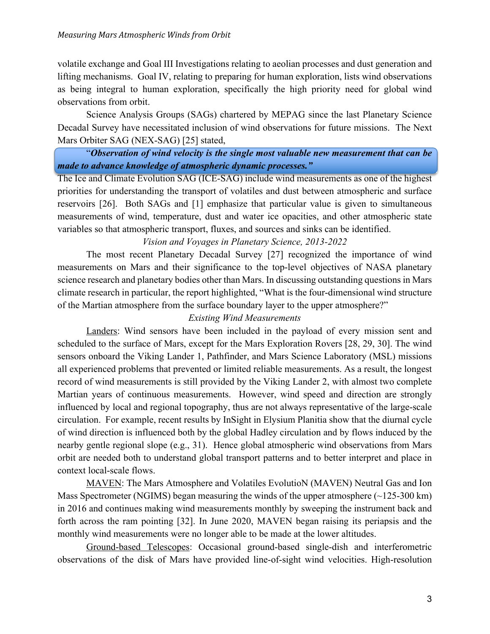volatile exchange and Goal III Investigations relating to aeolian processes and dust generation and lifting mechanisms. Goal IV, relating to preparing for human exploration, lists wind observations as being integral to human exploration, specifically the high priority need for global wind observations from orbit.

Science Analysis Groups (SAGs) chartered by MEPAG since the last Planetary Science Decadal Survey have necessitated inclusion of wind observations for future missions. The Next Mars Orbiter SAG (NEX-SAG) [25] stated,

"*Observation of wind velocity is the single most valuable new measurement that can be made to advance knowledge of atmospheric dynamic processes."* 

The Ice and Climate Evolution SAG (ICE-SAG) include wind measurements as one of the highest priorities for understanding the transport of volatiles and dust between atmospheric and surface reservoirs [26]. Both SAGs and [1] emphasize that particular value is given to simultaneous measurements of wind, temperature, dust and water ice opacities, and other atmospheric state variables so that atmospheric transport, fluxes, and sources and sinks can be identified.

#### *Vision and Voyages in Planetary Science, 2013-2022*

The most recent Planetary Decadal Survey [27] recognized the importance of wind measurements on Mars and their significance to the top-level objectives of NASA planetary science research and planetary bodies other than Mars. In discussing outstanding questions in Mars climate research in particular, the report highlighted, "What is the four-dimensional wind structure of the Martian atmosphere from the surface boundary layer to the upper atmosphere?"

#### *Existing Wind Measurements*

Landers: Wind sensors have been included in the payload of every mission sent and scheduled to the surface of Mars, except for the Mars Exploration Rovers [28, 29, 30]. The wind sensors onboard the Viking Lander 1, Pathfinder, and Mars Science Laboratory (MSL) missions all experienced problems that prevented or limited reliable measurements. As a result, the longest record of wind measurements is still provided by the Viking Lander 2, with almost two complete Martian years of continuous measurements. However, wind speed and direction are strongly influenced by local and regional topography, thus are not always representative of the large-scale circulation. For example, recent results by InSight in Elysium Planitia show that the diurnal cycle of wind direction is influenced both by the global Hadley circulation and by flows induced by the nearby gentle regional slope (e.g., 31). Hence global atmospheric wind observations from Mars orbit are needed both to understand global transport patterns and to better interpret and place in context local-scale flows.

MAVEN: The Mars Atmosphere and Volatiles EvolutioN (MAVEN) Neutral Gas and Ion Mass Spectrometer (NGIMS) began measuring the winds of the upper atmosphere  $(\sim 125-300 \text{ km})$ in 2016 and continues making wind measurements monthly by sweeping the instrument back and forth across the ram pointing [32]. In June 2020, MAVEN began raising its periapsis and the monthly wind measurements were no longer able to be made at the lower altitudes.

Ground-based Telescopes: Occasional ground-based single-dish and interferometric observations of the disk of Mars have provided line-of-sight wind velocities. High-resolution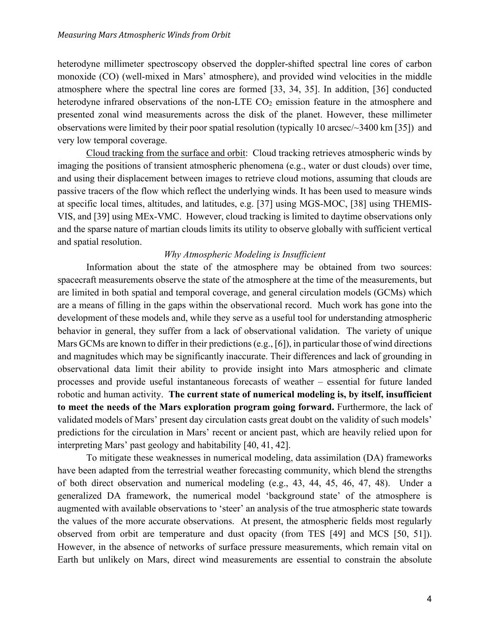heterodyne millimeter spectroscopy observed the doppler-shifted spectral line cores of carbon monoxide (CO) (well-mixed in Mars' atmosphere), and provided wind velocities in the middle atmosphere where the spectral line cores are formed [33, 34, 35]. In addition, [36] conducted heterodyne infrared observations of the non-LTE  $CO<sub>2</sub>$  emission feature in the atmosphere and presented zonal wind measurements across the disk of the planet. However, these millimeter observations were limited by their poor spatial resolution (typically 10 arcsec/~3400 km [35]) and very low temporal coverage.

Cloud tracking from the surface and orbit: Cloud tracking retrieves atmospheric winds by imaging the positions of transient atmospheric phenomena (e.g., water or dust clouds) over time, and using their displacement between images to retrieve cloud motions, assuming that clouds are passive tracers of the flow which reflect the underlying winds. It has been used to measure winds at specific local times, altitudes, and latitudes, e.g. [37] using MGS-MOC, [38] using THEMIS-VIS, and [39] using MEx-VMC. However, cloud tracking is limited to daytime observations only and the sparse nature of martian clouds limits its utility to observe globally with sufficient vertical and spatial resolution.

#### *Why Atmospheric Modeling is Insufficient*

 Information about the state of the atmosphere may be obtained from two sources: spacecraft measurements observe the state of the atmosphere at the time of the measurements, but are limited in both spatial and temporal coverage, and general circulation models (GCMs) which are a means of filling in the gaps within the observational record. Much work has gone into the development of these models and, while they serve as a useful tool for understanding atmospheric behavior in general, they suffer from a lack of observational validation. The variety of unique Mars GCMs are known to differ in their predictions (e.g., [6]), in particular those of wind directions and magnitudes which may be significantly inaccurate. Their differences and lack of grounding in observational data limit their ability to provide insight into Mars atmospheric and climate processes and provide useful instantaneous forecasts of weather – essential for future landed robotic and human activity. **The current state of numerical modeling is, by itself, insufficient to meet the needs of the Mars exploration program going forward.** Furthermore, the lack of validated models of Mars' present day circulation casts great doubt on the validity of such models' predictions for the circulation in Mars' recent or ancient past, which are heavily relied upon for interpreting Mars' past geology and habitability [40, 41, 42].

 To mitigate these weaknesses in numerical modeling, data assimilation (DA) frameworks have been adapted from the terrestrial weather forecasting community, which blend the strengths of both direct observation and numerical modeling (e.g., 43, 44, 45, 46, 47, 48). Under a generalized DA framework, the numerical model 'background state' of the atmosphere is augmented with available observations to 'steer' an analysis of the true atmospheric state towards the values of the more accurate observations. At present, the atmospheric fields most regularly observed from orbit are temperature and dust opacity (from TES [49] and MCS [50, 51]). However, in the absence of networks of surface pressure measurements, which remain vital on Earth but unlikely on Mars, direct wind measurements are essential to constrain the absolute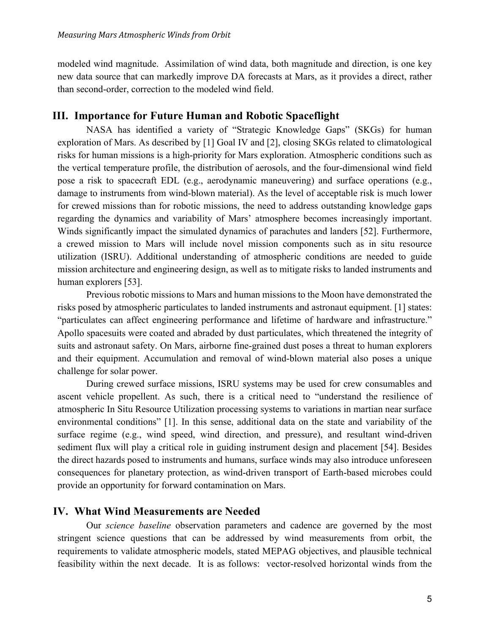modeled wind magnitude. Assimilation of wind data, both magnitude and direction, is one key new data source that can markedly improve DA forecasts at Mars, as it provides a direct, rather than second-order, correction to the modeled wind field.

# **III. Importance for Future Human and Robotic Spaceflight**

NASA has identified a variety of "Strategic Knowledge Gaps" (SKGs) for human exploration of Mars. As described by [1] Goal IV and [2], closing SKGs related to climatological risks for human missions is a high-priority for Mars exploration. Atmospheric conditions such as the vertical temperature profile, the distribution of aerosols, and the four-dimensional wind field pose a risk to spacecraft EDL (e.g., aerodynamic maneuvering) and surface operations (e.g., damage to instruments from wind-blown material). As the level of acceptable risk is much lower for crewed missions than for robotic missions, the need to address outstanding knowledge gaps regarding the dynamics and variability of Mars' atmosphere becomes increasingly important. Winds significantly impact the simulated dynamics of parachutes and landers [52]. Furthermore, a crewed mission to Mars will include novel mission components such as in situ resource utilization (ISRU). Additional understanding of atmospheric conditions are needed to guide mission architecture and engineering design, as well as to mitigate risks to landed instruments and human explorers [53].

Previous robotic missions to Mars and human missions to the Moon have demonstrated the risks posed by atmospheric particulates to landed instruments and astronaut equipment. [1] states: "particulates can affect engineering performance and lifetime of hardware and infrastructure." Apollo spacesuits were coated and abraded by dust particulates, which threatened the integrity of suits and astronaut safety. On Mars, airborne fine-grained dust poses a threat to human explorers and their equipment. Accumulation and removal of wind-blown material also poses a unique challenge for solar power.

During crewed surface missions, ISRU systems may be used for crew consumables and ascent vehicle propellent. As such, there is a critical need to "understand the resilience of atmospheric In Situ Resource Utilization processing systems to variations in martian near surface environmental conditions" [1]. In this sense, additional data on the state and variability of the surface regime (e.g., wind speed, wind direction, and pressure), and resultant wind-driven sediment flux will play a critical role in guiding instrument design and placement [54]. Besides the direct hazards posed to instruments and humans, surface winds may also introduce unforeseen consequences for planetary protection, as wind-driven transport of Earth-based microbes could provide an opportunity for forward contamination on Mars.

## **IV. What Wind Measurements are Needed**

Our *science baseline* observation parameters and cadence are governed by the most stringent science questions that can be addressed by wind measurements from orbit, the requirements to validate atmospheric models, stated MEPAG objectives, and plausible technical feasibility within the next decade. It is as follows: vector-resolved horizontal winds from the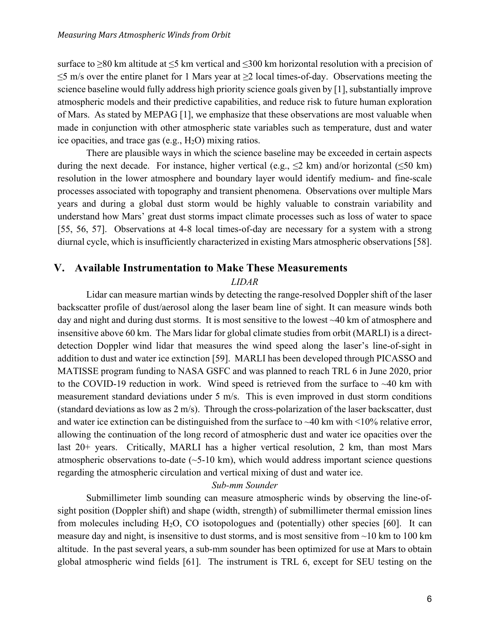surface to  $\geq 80$  km altitude at  $\leq 5$  km vertical and  $\leq 300$  km horizontal resolution with a precision of  $\leq$ 5 m/s over the entire planet for 1 Mars year at  $\geq$ 2 local times-of-day. Observations meeting the science baseline would fully address high priority science goals given by [1], substantially improve atmospheric models and their predictive capabilities, and reduce risk to future human exploration of Mars. As stated by MEPAG [1], we emphasize that these observations are most valuable when made in conjunction with other atmospheric state variables such as temperature, dust and water ice opacities, and trace gas  $(e.g., H<sub>2</sub>O)$  mixing ratios.

There are plausible ways in which the science baseline may be exceeded in certain aspects during the next decade. For instance, higher vertical (e.g.,  $\leq$ 2 km) and/or horizontal ( $\leq$ 50 km) resolution in the lower atmosphere and boundary layer would identify medium- and fine-scale processes associated with topography and transient phenomena. Observations over multiple Mars years and during a global dust storm would be highly valuable to constrain variability and understand how Mars' great dust storms impact climate processes such as loss of water to space [55, 56, 57]. Observations at 4-8 local times-of-day are necessary for a system with a strong diurnal cycle, which is insufficiently characterized in existing Mars atmospheric observations [58].

## **V. Available Instrumentation to Make These Measurements**

#### *LIDAR*

Lidar can measure martian winds by detecting the range-resolved Doppler shift of the laser backscatter profile of dust/aerosol along the laser beam line of sight. It can measure winds both day and night and during dust storms. It is most sensitive to the lowest ~40 km of atmosphere and insensitive above 60 km. The Mars lidar for global climate studies from orbit (MARLI) is a directdetection Doppler wind lidar that measures the wind speed along the laser's line-of-sight in addition to dust and water ice extinction [59]. MARLI has been developed through PICASSO and MATISSE program funding to NASA GSFC and was planned to reach TRL 6 in June 2020, prior to the COVID-19 reduction in work. Wind speed is retrieved from the surface to ~40 km with measurement standard deviations under 5 m/s. This is even improved in dust storm conditions (standard deviations as low as 2 m/s). Through the cross-polarization of the laser backscatter, dust and water ice extinction can be distinguished from the surface to  $\sim$  40 km with  $\leq$ 10% relative error, allowing the continuation of the long record of atmospheric dust and water ice opacities over the last 20+ years. Critically, MARLI has a higher vertical resolution, 2 km, than most Mars atmospheric observations to-date  $(-5-10 \text{ km})$ , which would address important science questions regarding the atmospheric circulation and vertical mixing of dust and water ice.

#### *Sub-mm Sounder*

Submillimeter limb sounding can measure atmospheric winds by observing the line-ofsight position (Doppler shift) and shape (width, strength) of submillimeter thermal emission lines from molecules including H2O, CO isotopologues and (potentially) other species [60]. It can measure day and night, is insensitive to dust storms, and is most sensitive from  $\sim$ 10 km to 100 km altitude. In the past several years, a sub-mm sounder has been optimized for use at Mars to obtain global atmospheric wind fields [61]. The instrument is TRL 6, except for SEU testing on the